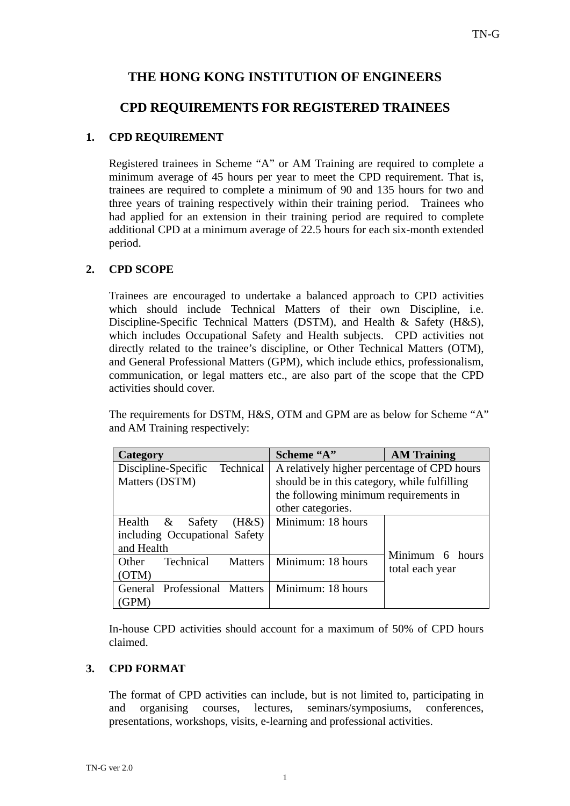# **THE HONG KONG INSTITUTION OF ENGINEERS**

## **CPD REQUIREMENTS FOR REGISTERED TRAINEES**

### **1. CPD REQUIREMENT**

Registered trainees in Scheme "A" or AM Training are required to complete a minimum average of 45 hours per year to meet the CPD requirement. That is, trainees are required to complete a minimum of 90 and 135 hours for two and three years of training respectively within their training period. Trainees who had applied for an extension in their training period are required to complete additional CPD at a minimum average of 22.5 hours for each six-month extended period.

### **2. CPD SCOPE**

Trainees are encouraged to undertake a balanced approach to CPD activities which should include Technical Matters of their own Discipline, i.e. Discipline-Specific Technical Matters (DSTM), and Health & Safety (H&S), which includes Occupational Safety and Health subjects. CPD activities not directly related to the trainee's discipline, or Other Technical Matters (OTM), and General Professional Matters (GPM), which include ethics, professionalism, communication, or legal matters etc., are also part of the scope that the CPD activities should cover.

The requirements for DSTM, H&S, OTM and GPM are as below for Scheme "A" and AM Training respectively:

| Category                             | Scheme "A"                                   | <b>AM Training</b> |
|--------------------------------------|----------------------------------------------|--------------------|
| Discipline-Specific<br>Technical     | A relatively higher percentage of CPD hours  |                    |
| Matters (DSTM)                       | should be in this category, while fulfilling |                    |
|                                      | the following minimum requirements in        |                    |
|                                      | other categories.                            |                    |
| Health $\&$<br>$(H\&S)$<br>Safety    | Minimum: 18 hours                            |                    |
| including Occupational Safety        |                                              |                    |
| and Health                           |                                              | Minimum 6 hours    |
| Technical<br>Other<br><b>Matters</b> | Minimum: 18 hours                            |                    |
| (OTM)                                |                                              | total each year    |
| General Professional Matters         | Minimum: 18 hours                            |                    |
| (GPM)                                |                                              |                    |

In-house CPD activities should account for a maximum of 50% of CPD hours claimed.

### **3. CPD FORMAT**

The format of CPD activities can include, but is not limited to, participating in and organising courses, lectures, seminars/symposiums, conferences, presentations, workshops, visits, e-learning and professional activities.